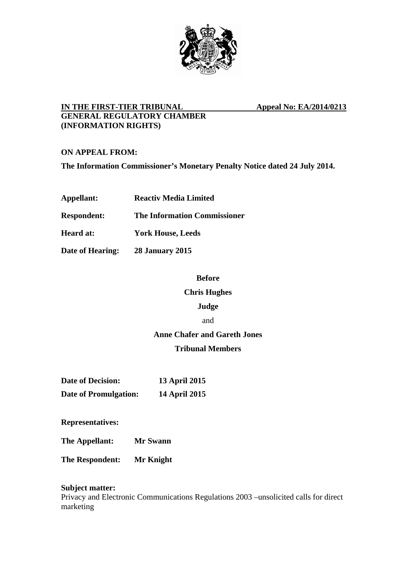

# **IN THE FIRST-TIER TRIBUNAL Appeal No: EA/2014/0213 GENERAL REGULATORY CHAMBER (INFORMATION RIGHTS)**

**ON APPEAL FROM:** 

**The Information Commissioner's Monetary Penalty Notice dated 24 July 2014.** 

| Appellant:         | <b>Reactiv Media Limited</b>        |
|--------------------|-------------------------------------|
| <b>Respondent:</b> | <b>The Information Commissioner</b> |
| <b>Heard at:</b>   | <b>York House, Leeds</b>            |
| Date of Hearing:   | <b>28 January 2015</b>              |

## **Before**

## **Chris Hughes**

## **Judge**

### and

# **Anne Chafer and Gareth Jones**

# **Tribunal Members**

| <b>Date of Decision:</b>     | <b>13 April 2015</b> |
|------------------------------|----------------------|
| <b>Date of Promulgation:</b> | <b>14 April 2015</b> |

**Representatives:** 

**The Appellant: Mr Swann** 

**The Respondent: Mr Knight** 

## **Subject matter:**

Privacy and Electronic Communications Regulations 2003 –unsolicited calls for direct marketing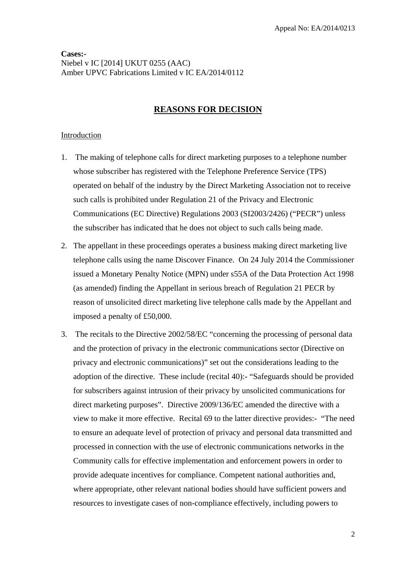# **Cases:-**  Niebel v IC [2014] UKUT 0255 (AAC) Amber UPVC Fabrications Limited v IC EA/2014/0112

# **REASONS FOR DECISION**

# Introduction

- 1. The making of telephone calls for direct marketing purposes to a telephone number whose subscriber has registered with the Telephone Preference Service (TPS) operated on behalf of the industry by the Direct Marketing Association not to receive such calls is prohibited under Regulation 21 of the Privacy and Electronic Communications (EC Directive) Regulations 2003 (SI2003/2426) ("PECR") unless the subscriber has indicated that he does not object to such calls being made.
- 2. The appellant in these proceedings operates a business making direct marketing live telephone calls using the name Discover Finance. On 24 July 2014 the Commissioner issued a Monetary Penalty Notice (MPN) under s55A of the Data Protection Act 1998 (as amended) finding the Appellant in serious breach of Regulation 21 PECR by reason of unsolicited direct marketing live telephone calls made by the Appellant and imposed a penalty of £50,000.
- 3. The recitals to the Directive 2002/58/EC "concerning the processing of personal data and the protection of privacy in the electronic communications sector (Directive on privacy and electronic communications)" set out the considerations leading to the adoption of the directive. These include (recital 40):- "Safeguards should be provided for subscribers against intrusion of their privacy by unsolicited communications for direct marketing purposes". Directive 2009/136/EC amended the directive with a view to make it more effective. Recital 69 to the latter directive provides:- "The need to ensure an adequate level of protection of privacy and personal data transmitted and processed in connection with the use of electronic communications networks in the Community calls for effective implementation and enforcement powers in order to provide adequate incentives for compliance. Competent national authorities and, where appropriate, other relevant national bodies should have sufficient powers and resources to investigate cases of non-compliance effectively, including powers to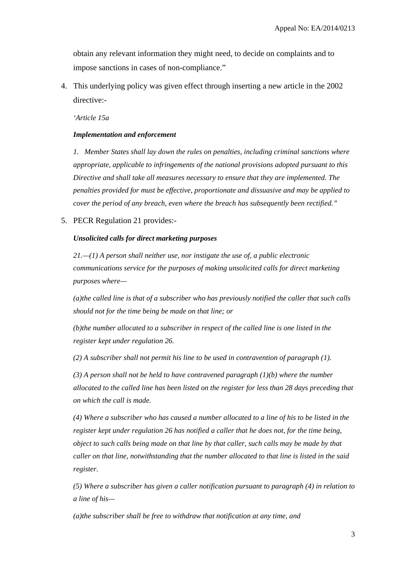obtain any relevant information they might need, to decide on complaints and to impose sanctions in cases of non-compliance."

4. This underlying policy was given effect through inserting a new article in the 2002 directive:-

*'Article 15a* 

### *Implementation and enforcement*

*1. Member States shall lay down the rules on penalties, including criminal sanctions where appropriate, applicable to infringements of the national provisions adopted pursuant to this Directive and shall take all measures necessary to ensure that they are implemented. The penalties provided for must be effective, proportionate and dissuasive and may be applied to cover the period of any breach, even where the breach has subsequently been rectified."*

5. PECR Regulation 21 provides:-

### *Unsolicited calls for direct marketing purposes*

*21.—(1) A person shall neither use, nor instigate the use of, a public electronic communications service for the purposes of making unsolicited calls for direct marketing purposes where—* 

*(a)the called line is that of a subscriber who has previously notified the caller that such calls should not for the time being be made on that line; or* 

*(b)the number allocated to a subscriber in respect of the called line is one listed in the register kept under regulation 26.* 

*(2) A subscriber shall not permit his line to be used in contravention of paragraph (1).* 

*(3) A person shall not be held to have contravened paragraph (1)(b) where the number allocated to the called line has been listed on the register for less than 28 days preceding that on which the call is made.* 

*(4) Where a subscriber who has caused a number allocated to a line of his to be listed in the register kept under regulation 26 has notified a caller that he does not, for the time being, object to such calls being made on that line by that caller, such calls may be made by that caller on that line, notwithstanding that the number allocated to that line is listed in the said register.* 

*(5) Where a subscriber has given a caller notification pursuant to paragraph (4) in relation to a line of his—* 

*(a)the subscriber shall be free to withdraw that notification at any time, and*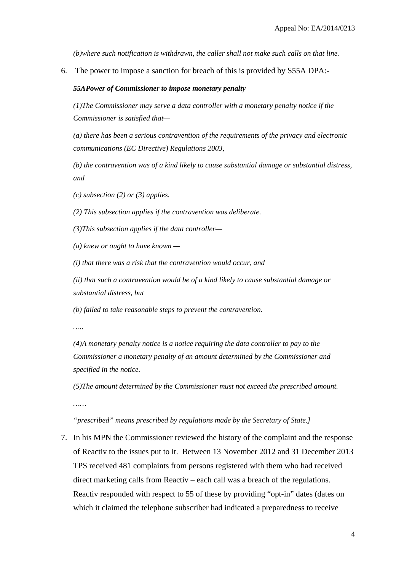*(b)where such notification is withdrawn, the caller shall not make such calls on that line.*

6. The power to impose a sanction for breach of this is provided by S55A DPA:-

#### *55APower of Commissioner to impose monetary penalty*

*(1)The Commissioner may serve a data controller with a monetary penalty notice if the Commissioner is satisfied that—* 

*(a) there has been a serious contravention of the requirements of the privacy and electronic communications (EC Directive) Regulations 2003,* 

*(b) the contravention was of a kind likely to cause substantial damage or substantial distress, and* 

*(c) subsection (2) or (3) applies.* 

*(2) This subsection applies if the contravention was deliberate.* 

*(3)This subsection applies if the data controller—* 

*(a) knew or ought to have known —* 

*(i) that there was a risk that the contravention would occur, and* 

*(ii) that such a contravention would be of a kind likely to cause substantial damage or substantial distress, but* 

*(b) failed to take reasonable steps to prevent the contravention.* 

*…..* 

*(4)A monetary penalty notice is a notice requiring the data controller to pay to the Commissioner a monetary penalty of an amount determined by the Commissioner and specified in the notice.* 

*(5)The amount determined by the Commissioner must not exceed the prescribed amount.* 

*……* 

## *"prescribed" means prescribed by regulations made by the Secretary of State.]*

7. In his MPN the Commissioner reviewed the history of the complaint and the response of Reactiv to the issues put to it. Between 13 November 2012 and 31 December 2013 TPS received 481 complaints from persons registered with them who had received direct marketing calls from Reactiv – each call was a breach of the regulations. Reactiv responded with respect to 55 of these by providing "opt-in" dates (dates on which it claimed the telephone subscriber had indicated a preparedness to receive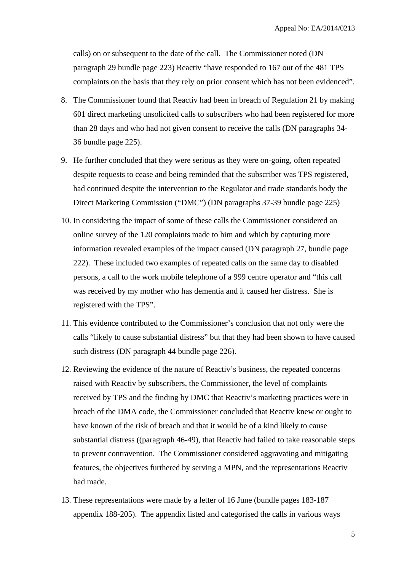calls) on or subsequent to the date of the call. The Commissioner noted (DN paragraph 29 bundle page 223) Reactiv "have responded to 167 out of the 481 TPS complaints on the basis that they rely on prior consent which has not been evidenced".

- 8. The Commissioner found that Reactiv had been in breach of Regulation 21 by making 601 direct marketing unsolicited calls to subscribers who had been registered for more than 28 days and who had not given consent to receive the calls (DN paragraphs 34- 36 bundle page 225).
- 9. He further concluded that they were serious as they were on-going, often repeated despite requests to cease and being reminded that the subscriber was TPS registered, had continued despite the intervention to the Regulator and trade standards body the Direct Marketing Commission ("DMC") (DN paragraphs 37-39 bundle page 225)
- 10. In considering the impact of some of these calls the Commissioner considered an online survey of the 120 complaints made to him and which by capturing more information revealed examples of the impact caused (DN paragraph 27, bundle page 222). These included two examples of repeated calls on the same day to disabled persons, a call to the work mobile telephone of a 999 centre operator and "this call was received by my mother who has dementia and it caused her distress. She is registered with the TPS".
- 11. This evidence contributed to the Commissioner's conclusion that not only were the calls "likely to cause substantial distress" but that they had been shown to have caused such distress (DN paragraph 44 bundle page 226).
- 12. Reviewing the evidence of the nature of Reactiv's business, the repeated concerns raised with Reactiv by subscribers, the Commissioner, the level of complaints received by TPS and the finding by DMC that Reactiv's marketing practices were in breach of the DMA code, the Commissioner concluded that Reactiv knew or ought to have known of the risk of breach and that it would be of a kind likely to cause substantial distress ((paragraph 46-49), that Reactiv had failed to take reasonable steps to prevent contravention. The Commissioner considered aggravating and mitigating features, the objectives furthered by serving a MPN, and the representations Reactiv had made.
- 13. These representations were made by a letter of 16 June (bundle pages 183-187 appendix 188-205). The appendix listed and categorised the calls in various ways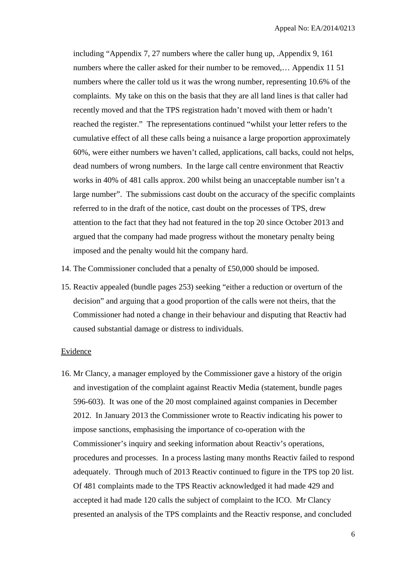including "Appendix 7, 27 numbers where the caller hung up, .Appendix 9, 161 numbers where the caller asked for their number to be removed,… Appendix 11 51 numbers where the caller told us it was the wrong number, representing 10.6% of the complaints. My take on this on the basis that they are all land lines is that caller had recently moved and that the TPS registration hadn't moved with them or hadn't reached the register." The representations continued "whilst your letter refers to the cumulative effect of all these calls being a nuisance a large proportion approximately 60%, were either numbers we haven't called, applications, call backs, could not helps, dead numbers of wrong numbers. In the large call centre environment that Reactiv works in 40% of 481 calls approx. 200 whilst being an unacceptable number isn't a large number". The submissions cast doubt on the accuracy of the specific complaints referred to in the draft of the notice, cast doubt on the processes of TPS, drew attention to the fact that they had not featured in the top 20 since October 2013 and argued that the company had made progress without the monetary penalty being imposed and the penalty would hit the company hard.

- 14. The Commissioner concluded that a penalty of £50,000 should be imposed.
- 15. Reactiv appealed (bundle pages 253) seeking "either a reduction or overturn of the decision" and arguing that a good proportion of the calls were not theirs, that the Commissioner had noted a change in their behaviour and disputing that Reactiv had caused substantial damage or distress to individuals.

### Evidence

16. Mr Clancy, a manager employed by the Commissioner gave a history of the origin and investigation of the complaint against Reactiv Media (statement, bundle pages 596-603). It was one of the 20 most complained against companies in December 2012. In January 2013 the Commissioner wrote to Reactiv indicating his power to impose sanctions, emphasising the importance of co-operation with the Commissioner's inquiry and seeking information about Reactiv's operations, procedures and processes. In a process lasting many months Reactiv failed to respond adequately. Through much of 2013 Reactiv continued to figure in the TPS top 20 list. Of 481 complaints made to the TPS Reactiv acknowledged it had made 429 and accepted it had made 120 calls the subject of complaint to the ICO. Mr Clancy presented an analysis of the TPS complaints and the Reactiv response, and concluded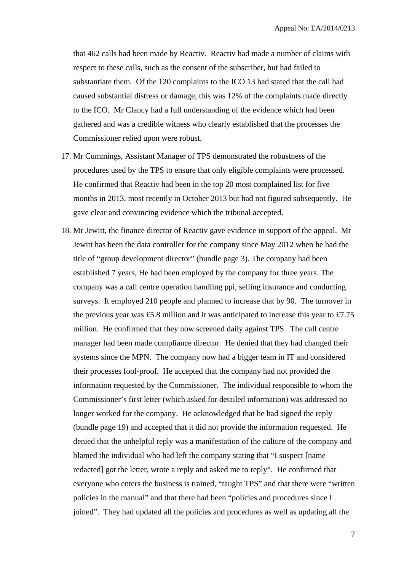that 462 calls had been made by Reactiv. Reactiv had made a number of claims with respect to these calls, such as the consent of the subscriber, but had failed to substantiate them. Of the 120 complaints to the ICO 13 had stated that the call had caused substantial distress or damage, this was 12% of the complaints made directly to the ICO. Mr Clancy had a full understanding of the evidence which had been gathered and was a credible witness who clearly established that the processes the Commissioner relied upon were robust.

- 17. Mr Cummings, Assistant Manager of TPS demonstrated the robustness of the procedures used by the TPS to ensure that only eligible complaints were processed. He confirmed that Reactiv had been in the top 20 most complained list for five months in 2013, most recently in October 2013 but had not figured subsequently. He gave clear and convincing evidence which the tribunal accepted.
- 18. Mr Jewitt, the finance director of Reactiv gave evidence in support of the appeal. Mr Jewitt has been the data controller for the company since May 2012 when he had the title of "group development director" (bundle page 3). The company had been established 7 years, He had been employed by the company for three years. The company was a call centre operation handling ppi, selling insurance and conducting surveys. It employed 210 people and planned to increase that by 90. The turnover in the previous year was £5.8 million and it was anticipated to increase this year to £7.75 million. He confirmed that they now screened daily against TPS. The call centre manager had been made compliance director. He denied that they had changed their systems since the MPN. The company now had a bigger team in IT and considered their processes fool-proof. He accepted that the company had not provided the information requested by the Commissioner. The individual responsible to whom the Commissioner's first letter (which asked for detailed information) was addressed no longer worked for the company. He acknowledged that he had signed the reply (bundle page 19) and accepted that it did not provide the information requested. He denied that the unhelpful reply was a manifestation of the culture of the company and blamed the individual who had left the company stating that "I suspect [name redacted] got the letter, wrote a reply and asked me to reply". He confirmed that everyone who enters the business is trained, "taught TPS" and that there were "written policies in the manual" and that there had been "policies and procedures since I joined". They had updated all the policies and procedures as well as updating all the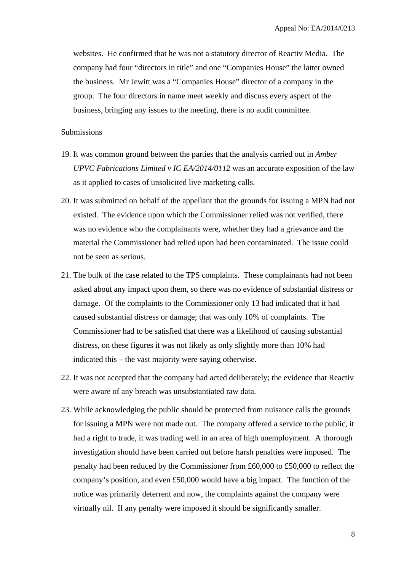websites. He confirmed that he was not a statutory director of Reactiv Media. The company had four "directors in title" and one "Companies House" the latter owned the business. Mr Jewitt was a "Companies House" director of a company in the group. The four directors in name meet weekly and discuss every aspect of the business, bringing any issues to the meeting, there is no audit committee.

## Submissions

- 19. It was common ground between the parties that the analysis carried out in *Amber UPVC Fabrications Limited v IC EA/2014/0112* was an accurate exposition of the law as it applied to cases of unsolicited live marketing calls.
- 20. It was submitted on behalf of the appellant that the grounds for issuing a MPN had not existed. The evidence upon which the Commissioner relied was not verified, there was no evidence who the complainants were, whether they had a grievance and the material the Commissioner had relied upon had been contaminated. The issue could not be seen as serious.
- 21. The bulk of the case related to the TPS complaints. These complainants had not been asked about any impact upon them, so there was no evidence of substantial distress or damage. Of the complaints to the Commissioner only 13 had indicated that it had caused substantial distress or damage; that was only 10% of complaints. The Commissioner had to be satisfied that there was a likelihood of causing substantial distress, on these figures it was not likely as only slightly more than 10% had indicated this – the vast majority were saying otherwise.
- 22. It was not accepted that the company had acted deliberately; the evidence that Reactiv were aware of any breach was unsubstantiated raw data.
- 23. While acknowledging the public should be protected from nuisance calls the grounds for issuing a MPN were not made out. The company offered a service to the public, it had a right to trade, it was trading well in an area of high unemployment. A thorough investigation should have been carried out before harsh penalties were imposed. The penalty had been reduced by the Commissioner from £60,000 to £50,000 to reflect the company's position, and even £50,000 would have a big impact. The function of the notice was primarily deterrent and now, the complaints against the company were virtually nil. If any penalty were imposed it should be significantly smaller.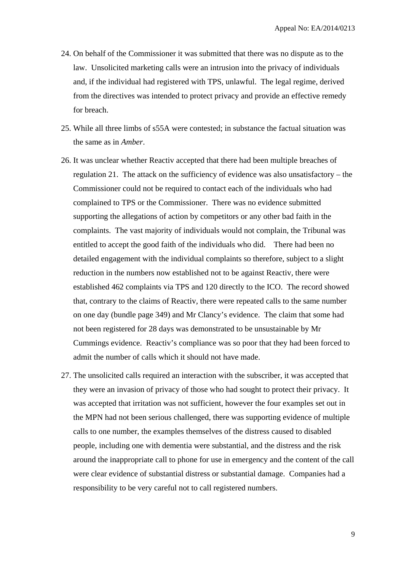- 24. On behalf of the Commissioner it was submitted that there was no dispute as to the law. Unsolicited marketing calls were an intrusion into the privacy of individuals and, if the individual had registered with TPS, unlawful. The legal regime, derived from the directives was intended to protect privacy and provide an effective remedy for breach.
- 25. While all three limbs of s55A were contested; in substance the factual situation was the same as in *Amber*.
- 26. It was unclear whether Reactiv accepted that there had been multiple breaches of regulation 21. The attack on the sufficiency of evidence was also unsatisfactory – the Commissioner could not be required to contact each of the individuals who had complained to TPS or the Commissioner. There was no evidence submitted supporting the allegations of action by competitors or any other bad faith in the complaints. The vast majority of individuals would not complain, the Tribunal was entitled to accept the good faith of the individuals who did. There had been no detailed engagement with the individual complaints so therefore, subject to a slight reduction in the numbers now established not to be against Reactiv, there were established 462 complaints via TPS and 120 directly to the ICO. The record showed that, contrary to the claims of Reactiv, there were repeated calls to the same number on one day (bundle page 349) and Mr Clancy's evidence. The claim that some had not been registered for 28 days was demonstrated to be unsustainable by Mr Cummings evidence. Reactiv's compliance was so poor that they had been forced to admit the number of calls which it should not have made.
- 27. The unsolicited calls required an interaction with the subscriber, it was accepted that they were an invasion of privacy of those who had sought to protect their privacy. It was accepted that irritation was not sufficient, however the four examples set out in the MPN had not been serious challenged, there was supporting evidence of multiple calls to one number, the examples themselves of the distress caused to disabled people, including one with dementia were substantial, and the distress and the risk around the inappropriate call to phone for use in emergency and the content of the call were clear evidence of substantial distress or substantial damage. Companies had a responsibility to be very careful not to call registered numbers.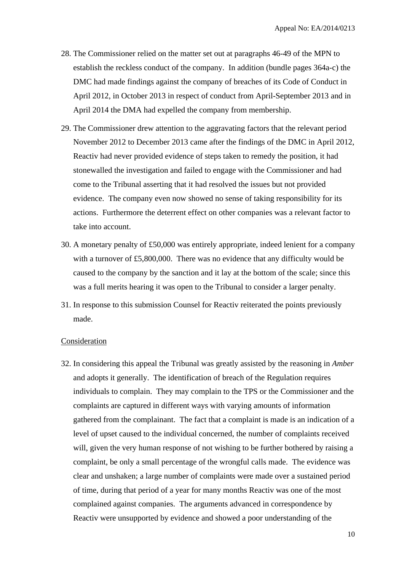- 28. The Commissioner relied on the matter set out at paragraphs 46-49 of the MPN to establish the reckless conduct of the company. In addition (bundle pages 364a-c) the DMC had made findings against the company of breaches of its Code of Conduct in April 2012, in October 2013 in respect of conduct from April-September 2013 and in April 2014 the DMA had expelled the company from membership.
- 29. The Commissioner drew attention to the aggravating factors that the relevant period November 2012 to December 2013 came after the findings of the DMC in April 2012, Reactiv had never provided evidence of steps taken to remedy the position, it had stonewalled the investigation and failed to engage with the Commissioner and had come to the Tribunal asserting that it had resolved the issues but not provided evidence. The company even now showed no sense of taking responsibility for its actions. Furthermore the deterrent effect on other companies was a relevant factor to take into account.
- 30. A monetary penalty of £50,000 was entirely appropriate, indeed lenient for a company with a turnover of £5,800,000. There was no evidence that any difficulty would be caused to the company by the sanction and it lay at the bottom of the scale; since this was a full merits hearing it was open to the Tribunal to consider a larger penalty.
- 31. In response to this submission Counsel for Reactiv reiterated the points previously made.

### Consideration

32. In considering this appeal the Tribunal was greatly assisted by the reasoning in *Amber* and adopts it generally. The identification of breach of the Regulation requires individuals to complain. They may complain to the TPS or the Commissioner and the complaints are captured in different ways with varying amounts of information gathered from the complainant. The fact that a complaint is made is an indication of a level of upset caused to the individual concerned, the number of complaints received will, given the very human response of not wishing to be further bothered by raising a complaint, be only a small percentage of the wrongful calls made. The evidence was clear and unshaken; a large number of complaints were made over a sustained period of time, during that period of a year for many months Reactiv was one of the most complained against companies. The arguments advanced in correspondence by Reactiv were unsupported by evidence and showed a poor understanding of the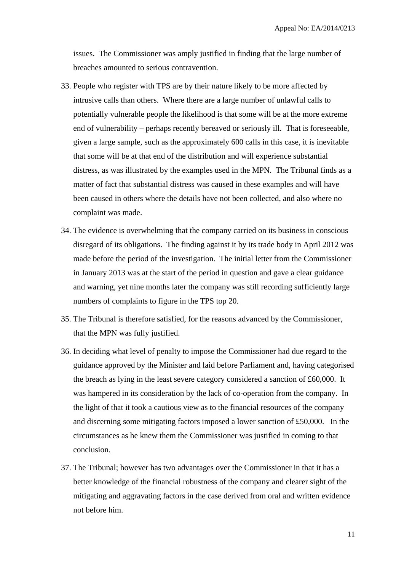issues. The Commissioner was amply justified in finding that the large number of breaches amounted to serious contravention.

- 33. People who register with TPS are by their nature likely to be more affected by intrusive calls than others. Where there are a large number of unlawful calls to potentially vulnerable people the likelihood is that some will be at the more extreme end of vulnerability – perhaps recently bereaved or seriously ill. That is foreseeable, given a large sample, such as the approximately 600 calls in this case, it is inevitable that some will be at that end of the distribution and will experience substantial distress, as was illustrated by the examples used in the MPN. The Tribunal finds as a matter of fact that substantial distress was caused in these examples and will have been caused in others where the details have not been collected, and also where no complaint was made.
- 34. The evidence is overwhelming that the company carried on its business in conscious disregard of its obligations. The finding against it by its trade body in April 2012 was made before the period of the investigation. The initial letter from the Commissioner in January 2013 was at the start of the period in question and gave a clear guidance and warning, yet nine months later the company was still recording sufficiently large numbers of complaints to figure in the TPS top 20.
- 35. The Tribunal is therefore satisfied, for the reasons advanced by the Commissioner, that the MPN was fully justified.
- 36. In deciding what level of penalty to impose the Commissioner had due regard to the guidance approved by the Minister and laid before Parliament and, having categorised the breach as lying in the least severe category considered a sanction of £60,000. It was hampered in its consideration by the lack of co-operation from the company. In the light of that it took a cautious view as to the financial resources of the company and discerning some mitigating factors imposed a lower sanction of £50,000. In the circumstances as he knew them the Commissioner was justified in coming to that conclusion.
- 37. The Tribunal; however has two advantages over the Commissioner in that it has a better knowledge of the financial robustness of the company and clearer sight of the mitigating and aggravating factors in the case derived from oral and written evidence not before him.